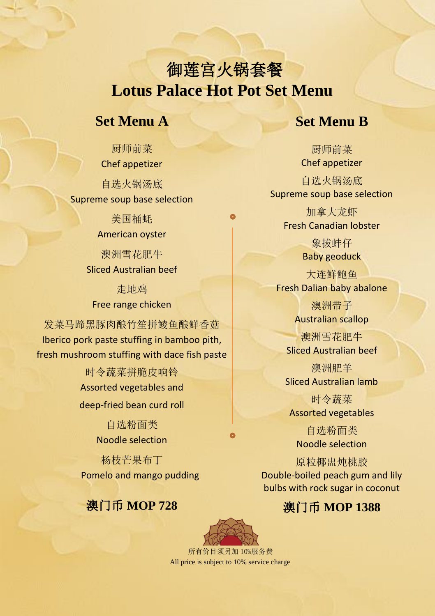# 御莲宫火锅套餐  **Lotus Palace Hot Pot Set Menu**

#### **Set Menu A**

### **Set Menu B**

厨师前菜 Chef appetizer

自选火锅汤底 Supreme soup base selection

> 美国桶蚝 American oyster

澳洲雪花肥牛 Sliced Australian beef

走地鸡 Free range chicken

发菜马蹄黑豚肉酿竹笙拼鲮鱼酿鲜香菇 Iberico pork paste stuffing in bamboo pith, fresh mushroom stuffing with dace fish paste

> 时令蔬菜拼脆皮响铃 Assorted vegetables and deep-fried bean curd roll

> > 自选粉面类 Noodle selection

杨枝芒果布丁 Pomelo and mango pudding

### 澳门币 **MOP 728**

厨师前菜 Chef appetizer

自选火锅汤底 Supreme soup base selection

加拿大龙虾 Fresh Canadian lobster

> 象拔蚌仔 Baby geoduck

大连鲜鲍鱼 Fresh Dalian baby abalone

> 澳洲带子 Australian scallop

澳洲雪花肥牛 Sliced Australian beef

澳洲肥羊 Sliced Australian lamb

时令蔬菜 Assorted vegetables

自选粉面类 Noodle selection

原粒椰盅炖桃胶 Double-boiled peach gum and lily bulbs with rock sugar in coconut

### 澳门币 **MOP 1388**



 所有价目须另加 10%服务费 All price is subject to 10% service charge